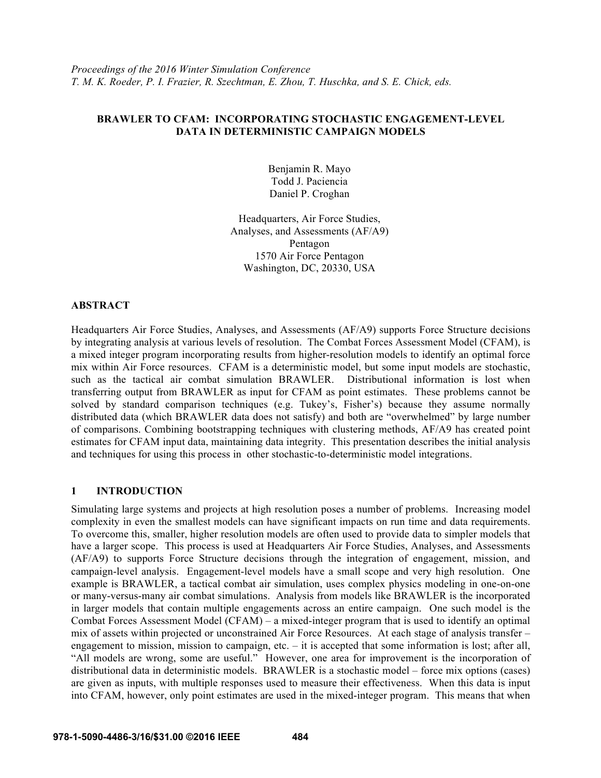# **BRAWLER TO CFAM: INCORPORATING STOCHASTIC ENGAGEMENT-LEVEL DATA IN DETERMINISTIC CAMPAIGN MODELS**

Benjamin R. Mayo Todd J. Paciencia Daniel P. Croghan

Headquarters, Air Force Studies, Analyses, and Assessments (AF/A9) Pentagon 1570 Air Force Pentagon Washington, DC, 20330, USA

# **ABSTRACT**

Headquarters Air Force Studies, Analyses, and Assessments (AF/A9) supports Force Structure decisions by integrating analysis at various levels of resolution. The Combat Forces Assessment Model (CFAM), is a mixed integer program incorporating results from higher-resolution models to identify an optimal force mix within Air Force resources. CFAM is a deterministic model, but some input models are stochastic, such as the tactical air combat simulation BRAWLER. Distributional information is lost when transferring output from BRAWLER as input for CFAM as point estimates. These problems cannot be solved by standard comparison techniques (e.g. Tukey's, Fisher's) because they assume normally distributed data (which BRAWLER data does not satisfy) and both are "overwhelmed" by large number of comparisons. Combining bootstrapping techniques with clustering methods, AF/A9 has created point estimates for CFAM input data, maintaining data integrity. This presentation describes the initial analysis and techniques for using this process in other stochastic-to-deterministic model integrations.

# **1 INTRODUCTION**

Simulating large systems and projects at high resolution poses a number of problems. Increasing model complexity in even the smallest models can have significant impacts on run time and data requirements. To overcome this, smaller, higher resolution models are often used to provide data to simpler models that have a larger scope. This process is used at Headquarters Air Force Studies, Analyses, and Assessments (AF/A9) to supports Force Structure decisions through the integration of engagement, mission, and campaign-level analysis. Engagement-level models have a small scope and very high resolution. One example is BRAWLER, a tactical combat air simulation, uses complex physics modeling in one-on-one or many-versus-many air combat simulations. Analysis from models like BRAWLER is the incorporated in larger models that contain multiple engagements across an entire campaign. One such model is the Combat Forces Assessment Model (CFAM) – a mixed-integer program that is used to identify an optimal mix of assets within projected or unconstrained Air Force Resources. At each stage of analysis transfer – engagement to mission, mission to campaign, etc. – it is accepted that some information is lost; after all, "All models are wrong, some are useful." However, one area for improvement is the incorporation of distributional data in deterministic models. BRAWLER is a stochastic model – force mix options (cases) are given as inputs, with multiple responses used to measure their effectiveness. When this data is input into CFAM, however, only point estimates are used in the mixed-integer program. This means that when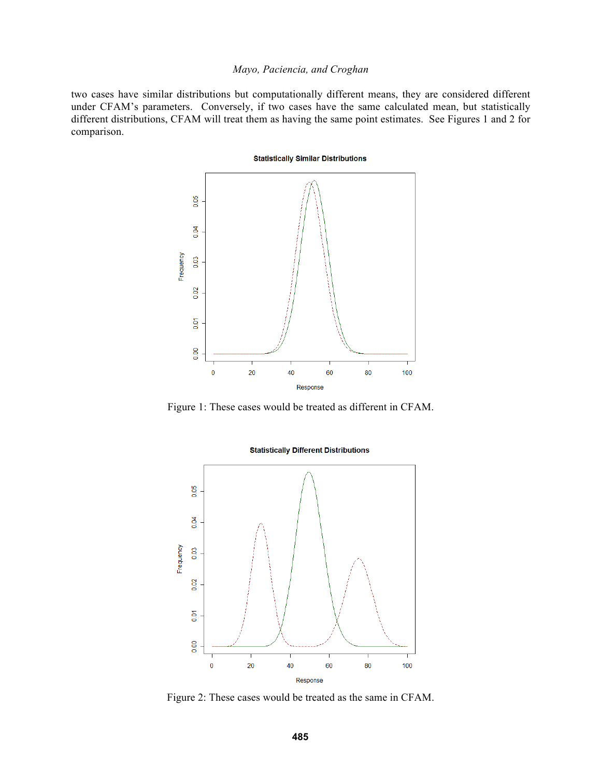## *Mayo, Paciencia, and Croghan*

two cases have similar distributions but computationally different means, they are considered different under CFAM's parameters. Conversely, if two cases have the same calculated mean, but statistically different distributions, CFAM will treat them as having the same point estimates. See Figures 1 and 2 for comparison.

**Statistically Similar Distributions** 



Figure 1: These cases would be treated as different in CFAM.



**Statistically Different Distributions** 

Figure 2: These cases would be treated as the same in CFAM.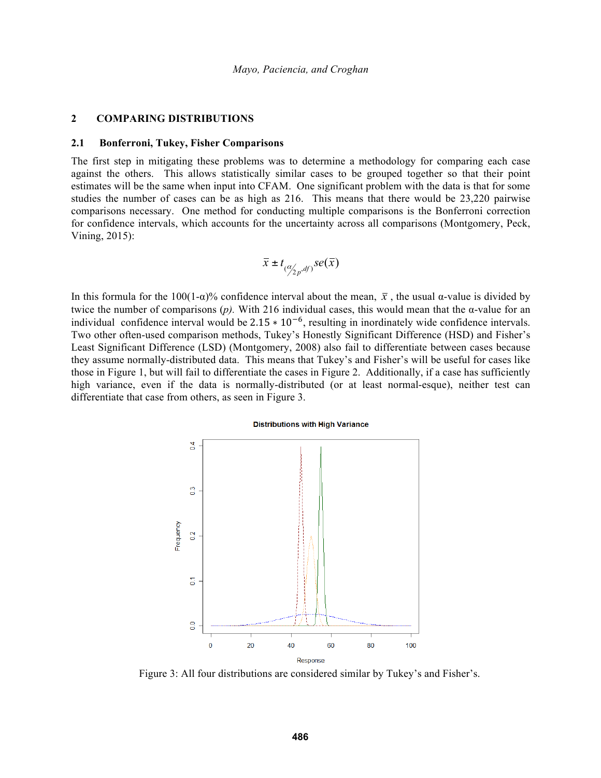## **2 COMPARING DISTRIBUTIONS**

#### **2.1 Bonferroni, Tukey, Fisher Comparisons**

The first step in mitigating these problems was to determine a methodology for comparing each case against the others. This allows statistically similar cases to be grouped together so that their point estimates will be the same when input into CFAM. One significant problem with the data is that for some studies the number of cases can be as high as 216. This means that there would be 23,220 pairwise comparisons necessary. One method for conducting multiple comparisons is the Bonferroni correction for confidence intervals, which accounts for the uncertainty across all comparisons (Montgomery, Peck, Vining, 2015):

$$
\bar{x} \pm t_{(\alpha/2p, df)} se(\bar{x})
$$

In this formula for the 100(1-α)% confidence interval about the mean,  $\bar{x}$ , the usual α-value is divided by twice the number of comparisons  $(p)$ . With 216 individual cases, this would mean that the α-value for an individual confidence interval would be  $2.15 \times 10^{-6}$ , resulting in inordinately wide confidence intervals. Two other often-used comparison methods, Tukey's Honestly Significant Difference (HSD) and Fisher's Least Significant Difference (LSD) (Montgomery, 2008) also fail to differentiate between cases because they assume normally-distributed data. This means that Tukey's and Fisher's will be useful for cases like those in Figure 1, but will fail to differentiate the cases in Figure 2. Additionally, if a case has sufficiently high variance, even if the data is normally-distributed (or at least normal-esque), neither test can differentiate that case from others, as seen in Figure 3.

#### **Distributions with High Variance**



Figure 3: All four distributions are considered similar by Tukey's and Fisher's.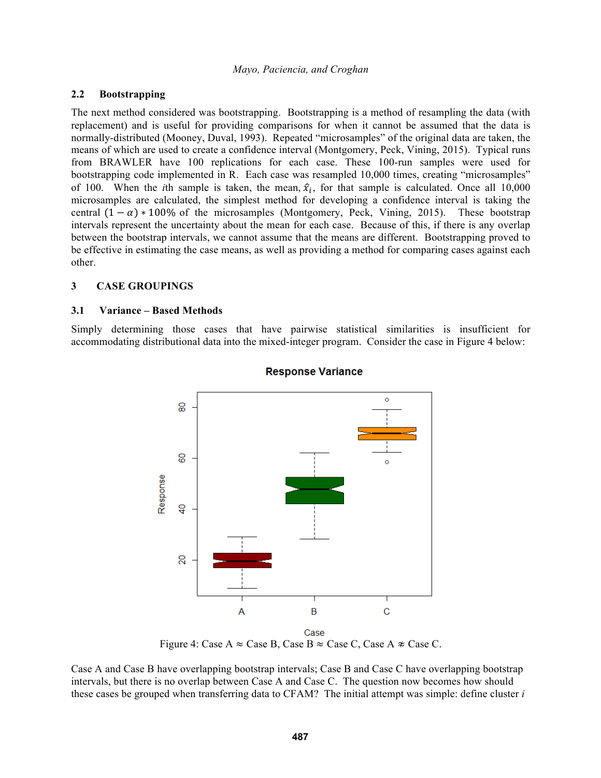# **2.2 Bootstrapping**

The next method considered was bootstrapping. Bootstrapping is a method of resampling the data (with replacement) and is useful for providing comparisons for when it cannot be assumed that the data is normally-distributed (Mooney, Duval, 1993). Repeated "microsamples" of the original data are taken, the means of which are used to create a confidence interval (Montgomery, Peck, Vining, 2015). Typical runs from BRAWLER have 100 replications for each case. These 100-run samples were used for bootstrapping code implemented in R. Each case was resampled 10,000 times, creating "microsamples" of 100. When the *i*th sample is taken, the mean,  $\hat{x}_i$ , for that sample is calculated. Once all 10,000 microsamples are calculated, the simplest method for developing a confidence interval is taking the central  $(1 - \alpha) * 100\%$  of the microsamples (Montgomery, Peck, Vining, 2015). These bootstrap intervals represent the uncertainty about the mean for each case. Because of this, if there is any overlap between the bootstrap intervals, we cannot assume that the means are different. Bootstrapping proved to be effective in estimating the case means, as well as providing a method for comparing cases against each other.

## **3 CASE GROUPINGS**

## **3.1 Variance – Based Methods**

Simply determining those cases that have pairwise statistical similarities is insufficient for accommodating distributional data into the mixed-integer program. Consider the case in Figure 4 below:



# **Response Variance**

Figure 4: Case A  $\approx$  Case B, Case B  $\approx$  Case C, Case A  $\approx$  Case C.

Case A and Case B have overlapping bootstrap intervals; Case B and Case C have overlapping bootstrap intervals, but there is no overlap between Case A and Case C. The question now becomes how should these cases be grouped when transferring data to CFAM? The initial attempt was simple: define cluster *i*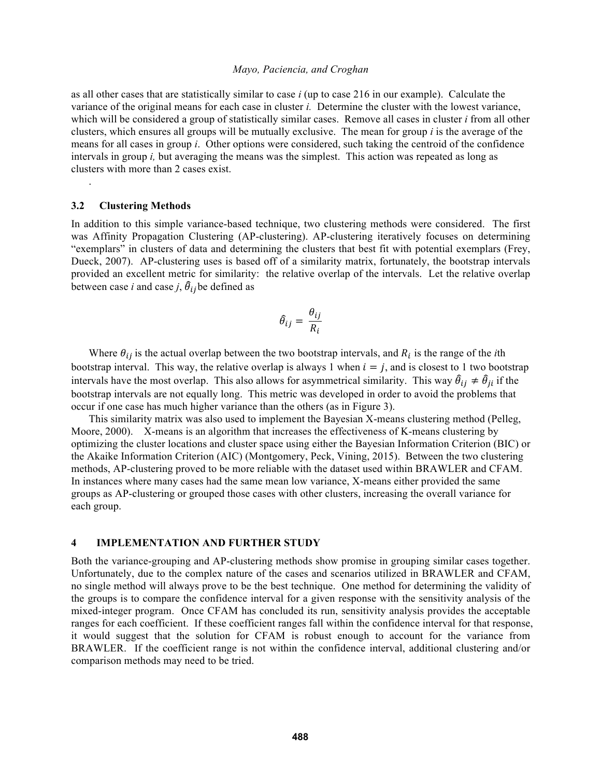#### *Mayo, Paciencia, and Croghan*

as all other cases that are statistically similar to case *i* (up to case 216 in our example). Calculate the variance of the original means for each case in cluster *i.* Determine the cluster with the lowest variance, which will be considered a group of statistically similar cases. Remove all cases in cluster *i* from all other clusters, which ensures all groups will be mutually exclusive. The mean for group *i* is the average of the means for all cases in group *i*. Other options were considered, such taking the centroid of the confidence intervals in group *i,* but averaging the means was the simplest. This action was repeated as long as clusters with more than 2 cases exist.

#### **3.2 Clustering Methods**

.

In addition to this simple variance-based technique, two clustering methods were considered. The first was Affinity Propagation Clustering (AP-clustering). AP-clustering iteratively focuses on determining "exemplars" in clusters of data and determining the clusters that best fit with potential exemplars (Frey, Dueck, 2007). AP-clustering uses is based off of a similarity matrix, fortunately, the bootstrap intervals provided an excellent metric for similarity: the relative overlap of the intervals. Let the relative overlap between case *i* and case *j*,  $\hat{\theta}_{ij}$  be defined as

$$
\hat{\theta}_{ij} = \frac{\theta_{ij}}{R_i}
$$

Where  $\theta_{ij}$  is the actual overlap between the two bootstrap intervals, and  $R_i$  is the range of the *i*th bootstrap interval. This way, the relative overlap is always 1 when  $i = j$ , and is closest to 1 two bootstrap intervals have the most overlap. This also allows for asymmetrical similarity. This way  $\hat{\theta}_{ij} \neq \hat{\theta}_{ji}$  if the bootstrap intervals are not equally long. This metric was developed in order to avoid the problems that occur if one case has much higher variance than the others (as in Figure 3).

This similarity matrix was also used to implement the Bayesian X-means clustering method (Pelleg, Moore, 2000). X-means is an algorithm that increases the effectiveness of K-means clustering by optimizing the cluster locations and cluster space using either the Bayesian Information Criterion (BIC) or the Akaike Information Criterion (AIC) (Montgomery, Peck, Vining, 2015). Between the two clustering methods, AP-clustering proved to be more reliable with the dataset used within BRAWLER and CFAM. In instances where many cases had the same mean low variance, X-means either provided the same groups as AP-clustering or grouped those cases with other clusters, increasing the overall variance for each group.

## **4 IMPLEMENTATION AND FURTHER STUDY**

Both the variance-grouping and AP-clustering methods show promise in grouping similar cases together. Unfortunately, due to the complex nature of the cases and scenarios utilized in BRAWLER and CFAM, no single method will always prove to be the best technique. One method for determining the validity of the groups is to compare the confidence interval for a given response with the sensitivity analysis of the mixed-integer program. Once CFAM has concluded its run, sensitivity analysis provides the acceptable ranges for each coefficient. If these coefficient ranges fall within the confidence interval for that response, it would suggest that the solution for CFAM is robust enough to account for the variance from BRAWLER. If the coefficient range is not within the confidence interval, additional clustering and/or comparison methods may need to be tried.